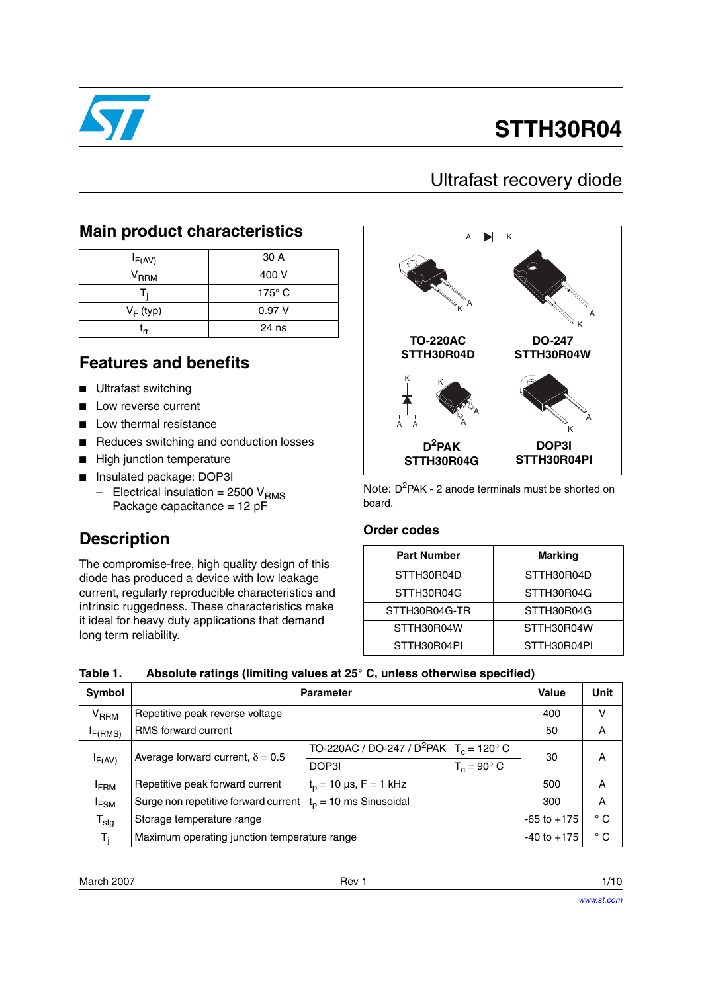

# **STTH30R04**

## Ultrafast recovery diode

### **Main product characteristics**

| $I_{F(AV)}$               | 30 A          |
|---------------------------|---------------|
| $\mathsf{V}_\mathsf{RRM}$ | 400 V         |
|                           | $175^\circ$ C |
| $V_F$ (typ)               | 0.97V         |
| <b>Lrr</b>                | 24 ns         |

### **Features and benefits**

- Ultrafast switching
- Low reverse current
- Low thermal resistance
- Reduces switching and conduction losses
- High junction temperature
- Insulated package: DOP3I – Electrical insulation =  $2500 V<sub>RMS</sub>$ Package capacitance = 12 pF

### **Description**

The compromise-free, high quality design of this diode has produced a device with low leakage current, regularly reproducible characteristics and intrinsic ruggedness. These characteristics make it ideal for heavy duty applications that demand long term reliability.



Note:  $D^2$ PAK - 2 anode terminals must be shorted on board.

#### **Order codes**

| <b>Part Number</b> | <b>Marking</b> |
|--------------------|----------------|
| STTH30R04D         | STTH30R04D     |
| STTH30R04G         | STTH30R04G     |
| STTH30R04G-TR      | STTH30R04G     |
| STTH30R04W         | STTH30R04W     |
| STTH30R04PI        | STTH30R04PI    |

| Symbol                    | <b>Parameter</b>                             | Value                                                         | Unit               |                 |              |
|---------------------------|----------------------------------------------|---------------------------------------------------------------|--------------------|-----------------|--------------|
| $\mathsf{V}_\mathsf{RRM}$ | Repetitive peak reverse voltage              | 400                                                           | v                  |                 |              |
| $I_{F(RMS)}$              | <b>RMS</b> forward current                   | 50                                                            | А                  |                 |              |
|                           | Average forward current, $\delta = 0.5$      | TO-220AC / DO-247 / D <sup>2</sup> PAK $T_c = 120^\circ$ C    |                    | 30              | А            |
| $I_{F(AV)}$               |                                              | DOP3I                                                         | $T_c = 90^\circ$ C |                 |              |
| <b>FRM</b>                | Repetitive peak forward current              | $t_0 = 10 \,\mu s$ , F = 1 kHz                                | 500                | А               |              |
| <sup>I</sup> FSM          |                                              | Surge non repetitive forward current $t_0 = 10$ ms Sinusoidal |                    |                 |              |
| $T_{\text{stg}}$          | Storage temperature range                    |                                                               |                    | $-65$ to $+175$ | $^{\circ}$ C |
| $T_i$                     | Maximum operating junction temperature range | $-40$ to $+175$                                               | $^{\circ}$ C       |                 |              |

| Table 1. |  | Absolute ratings (limiting values at 25° C, unless otherwise specified) |
|----------|--|-------------------------------------------------------------------------|
|          |  |                                                                         |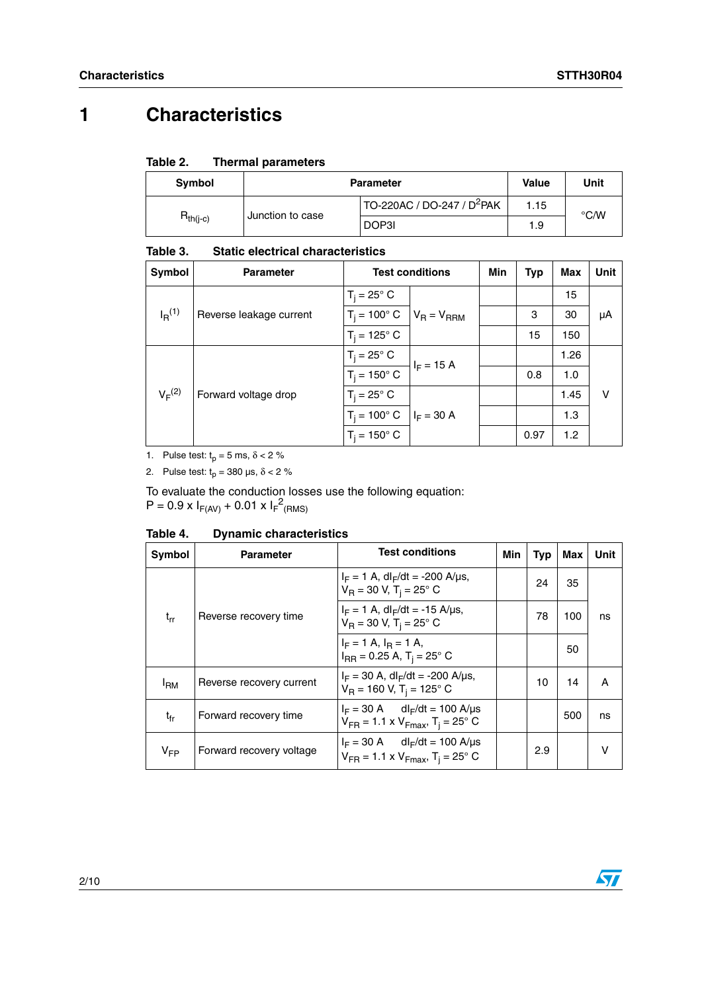## **1 Characteristics**

| Table 2. |  | <b>Thermal parameters</b> |
|----------|--|---------------------------|
|----------|--|---------------------------|

| Symbol        | <b>Parameter</b> | Value                                  | Unit |                    |  |
|---------------|------------------|----------------------------------------|------|--------------------|--|
|               | Junction to case | TO-220AC / DO-247 / D <sup>2</sup> PAK | 1.15 | $\rm ^{\circ}$ C/W |  |
| $R_{th(i-c)}$ |                  | DOP3I                                  | 1.9  |                    |  |

Table 3. **Static electrical characteristics** 

| Symbol        | <b>Parameter</b>        | <b>Test conditions</b>     | Min             | <b>Typ</b> | Max  | Unit |    |
|---------------|-------------------------|----------------------------|-----------------|------------|------|------|----|
| $I_{R}^{(1)}$ |                         | $T_i = 25^\circ$ C         |                 |            |      | 15   | μA |
|               | Reverse leakage current | $T_i = 100^{\circ}$ C      | $V_R = V_{RRM}$ |            | 3    | 30   |    |
|               |                         | $T_i = 125^{\circ} C$      |                 |            | 15   | 150  |    |
| $V_F^{(2)}$   | Forward voltage drop    | $T_i = 25^\circ \text{ C}$ | $I_F = 15 A$    |            |      | 1.26 |    |
|               |                         | $T_i = 150^\circ$ C        |                 |            | 0.8  | 1.0  |    |
|               |                         | $T_i = 25^\circ$ C         |                 |            |      | 1.45 | v  |
|               |                         | $T_i = 100^{\circ}$ C      | $I_F = 30 A$    |            |      | 1.3  |    |
|               |                         | $T_i = 150^{\circ}$ C      |                 |            | 0.97 | 1.2  |    |

1. Pulse test:  $t_p = 5$  ms,  $\delta < 2$  %

2. Pulse test:  $t_p = 380 \text{ }\mu\text{s}, \delta < 2 \%$ 

To evaluate the conduction losses use the following equation:  $P = 0.9 \times I_{F(AV)} + 0.01 \times I_{F}^{2}$ (RMS)

| Table 4. | <b>Dynamic characteristics</b> |
|----------|--------------------------------|
|          |                                |

| <b>Symbol</b>   | <b>Parameter</b>         | <b>Test conditions</b>                                                                                      | Min | <b>Typ</b> | Max | Unit |
|-----------------|--------------------------|-------------------------------------------------------------------------------------------------------------|-----|------------|-----|------|
| $t_{rr}$        |                          | $I_F = 1$ A, dl <sub>F</sub> /dt = -200 A/µs,<br>$V_{\rm B}$ = 30 V, T <sub>i</sub> = 25° C                 |     | 24         | 35  |      |
|                 | Reverse recovery time    | $I_F = 1$ A, dl <sub>F</sub> /dt = -15 A/µs,<br>$V_{\rm B}$ = 30 V, T <sub>i</sub> = 25° C                  |     | 78         | 100 | ns   |
|                 |                          | $I_F = 1$ A, $I_R = 1$ A,<br>$I_{\rm{BR}}$ = 0.25 A, T <sub>i</sub> = 25° C                                 |     |            | 50  |      |
| <sup>I</sup> RM | Reverse recovery current | $I_F = 30$ A, dl <sub>F</sub> /dt = -200 A/us,<br>$V_B$ = 160 V, T <sub>i</sub> = 125° C                    |     | 10         | 14  | A    |
| $t_{fr}$        | Forward recovery time    | $I_F = 30 \text{ A}$ dl <sub>F</sub> /dt = 100 A/µs<br>$V_{FR}$ = 1.1 x $V_{Fmax}$ , T <sub>i</sub> = 25° C |     |            | 500 | ns   |
| $V_{FP}$        | Forward recovery voltage | $I_F = 30 \text{ A}$ dl <sub>F</sub> /dt = 100 A/µs<br>$V_{FR}$ = 1.1 x $V_{Fmax}$ , T <sub>i</sub> = 25° C |     | 2.9        |     | v    |

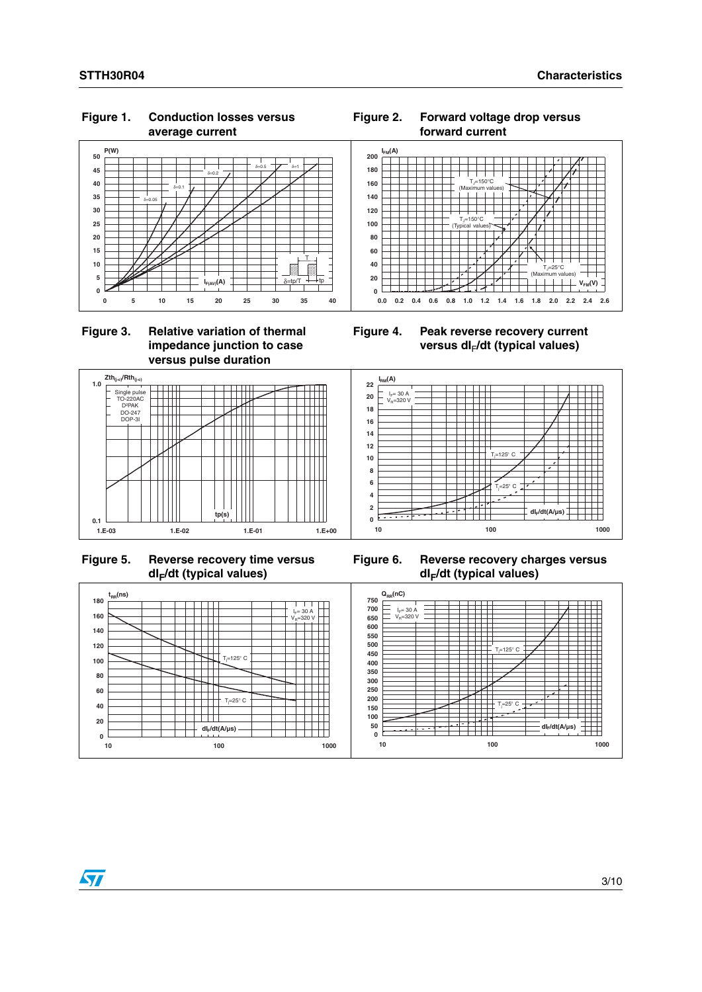

#### **Figure 1. Conduction losses versus average current**



#### **Figure 2. Forward voltage drop versus forward current**



**Figure 4. Peak reverse recovery current** 





 **Figure 5. Reverse recovery time versus dIF/dt (typical values)**

**Figure 6. Reverse recovery charges versus dIF/dt (typical values)**





**tRR(ns)**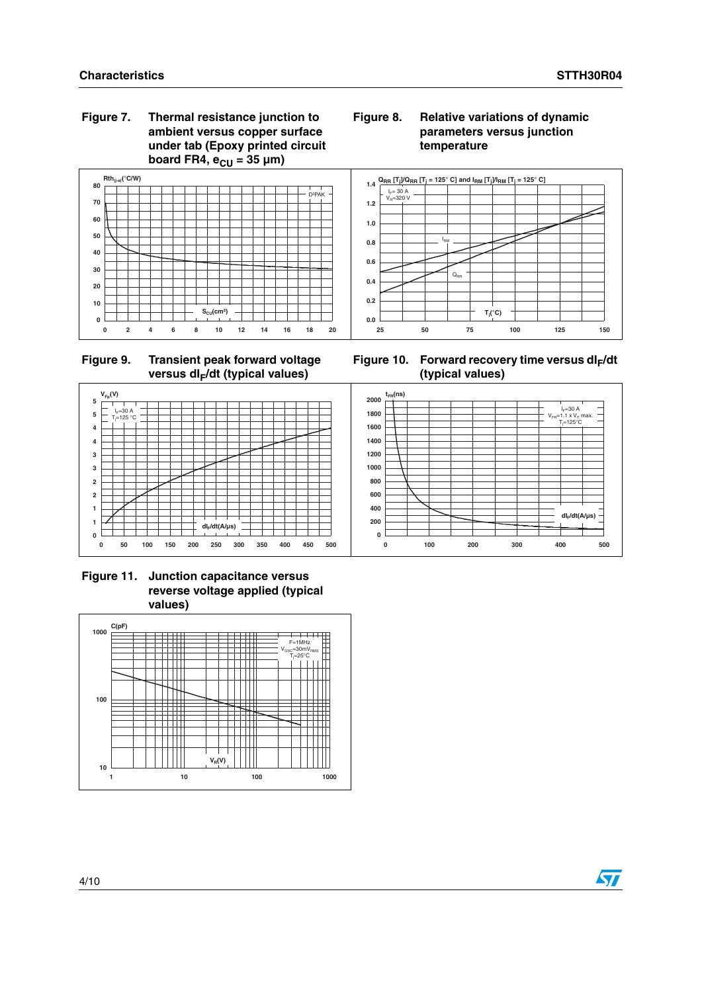**Figure 7. Thermal resistance junction to ambient versus copper surface under tab (Epoxy printed circuit board FR4,**  $e_{CU} = 35 \mu m$ **)** 











 **Figure 11. Junction capacitance versus reverse voltage applied (typical values)**



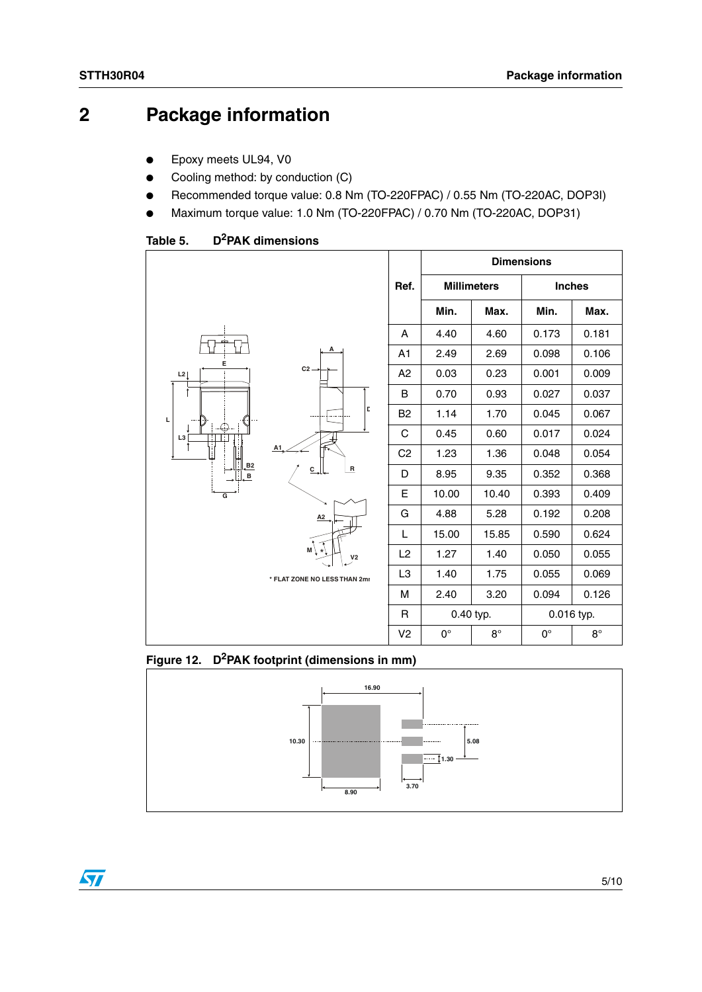## **2 Package information**

- Epoxy meets UL94, V0
- Cooling method: by conduction (C)
- Recommended torque value: 0.8 Nm (TO-220FPAC) / 0.55 Nm (TO-220AC, DOP3I)
- Maximum torque value: 1.0 Nm (TO-220FPAC) / 0.70 Nm (TO-220AC, DOP31)

#### Table 5. **D**<sup>2</sup>PAK dimensions



#### **Figure 12. D2PAK footprint (dimensions in mm)**



 $\sqrt{}$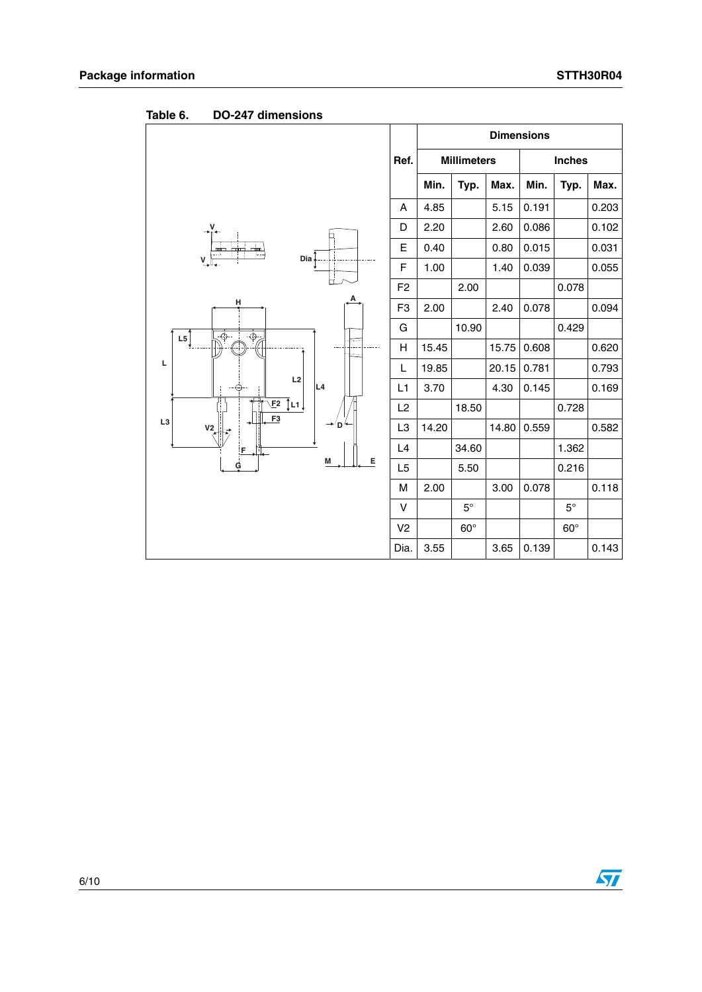|                             |                | <b>Dimensions</b> |                                     |       |       |            |       |  |
|-----------------------------|----------------|-------------------|-------------------------------------|-------|-------|------------|-------|--|
|                             | Ref.           |                   | <b>Millimeters</b><br><b>Inches</b> |       |       |            |       |  |
|                             |                | Min.              | Typ.                                | Max.  | Min.  | Typ.       | Max.  |  |
|                             | A              | 4.85              |                                     | 5.15  | 0.191 |            | 0.203 |  |
|                             | D              | 2.20              |                                     | 2.60  | 0.086 |            | 0.102 |  |
| ட்                          | E              | 0.40              |                                     | 0.80  | 0.015 |            | 0.031 |  |
| Dia<br>V.                   | F              | 1.00              |                                     | 1.40  | 0.039 |            | 0.055 |  |
|                             | F <sub>2</sub> |                   | 2.00                                |       |       | 0.078      |       |  |
| н                           | F <sub>3</sub> | 2.00              |                                     | 2.40  | 0.078 |            | 0.094 |  |
| $\overline{\Phi}$           | G              |                   | 10.90                               |       |       | 0.429      |       |  |
| L5                          | $\mathsf{H}$   | 15.45             |                                     | 15.75 | 0.608 |            | 0.620 |  |
| L                           | L              | 19.85             |                                     | 20.15 | 0.781 |            | 0.793 |  |
| L2<br>L4                    | L1             | 3.70              |                                     | 4.30  | 0.145 |            | 0.169 |  |
| اناج<br>ŢL1↓<br>E2<br>F3    | L2             |                   | 18.50                               |       |       | 0.728      |       |  |
| L <sub>3</sub><br>*′D<br>V2 | L <sub>3</sub> | 14.20             |                                     | 14.80 | 0.559 |            | 0.582 |  |
| F                           | L4             |                   | 34.60                               |       |       | 1.362      |       |  |
| Ε<br>M<br>Ģ                 | L <sub>5</sub> |                   | 5.50                                |       |       | 0.216      |       |  |
|                             | M              | 2.00              |                                     | 3.00  | 0.078 |            | 0.118 |  |
|                             | v              |                   | $5^\circ$                           |       |       | $5^\circ$  |       |  |
|                             | V <sub>2</sub> |                   | $60^\circ$                          |       |       | $60^\circ$ |       |  |
|                             | Dia.           | 3.55              |                                     | 3.65  | 0.139 |            | 0.143 |  |

**Table 6. DO-247 dimensions**

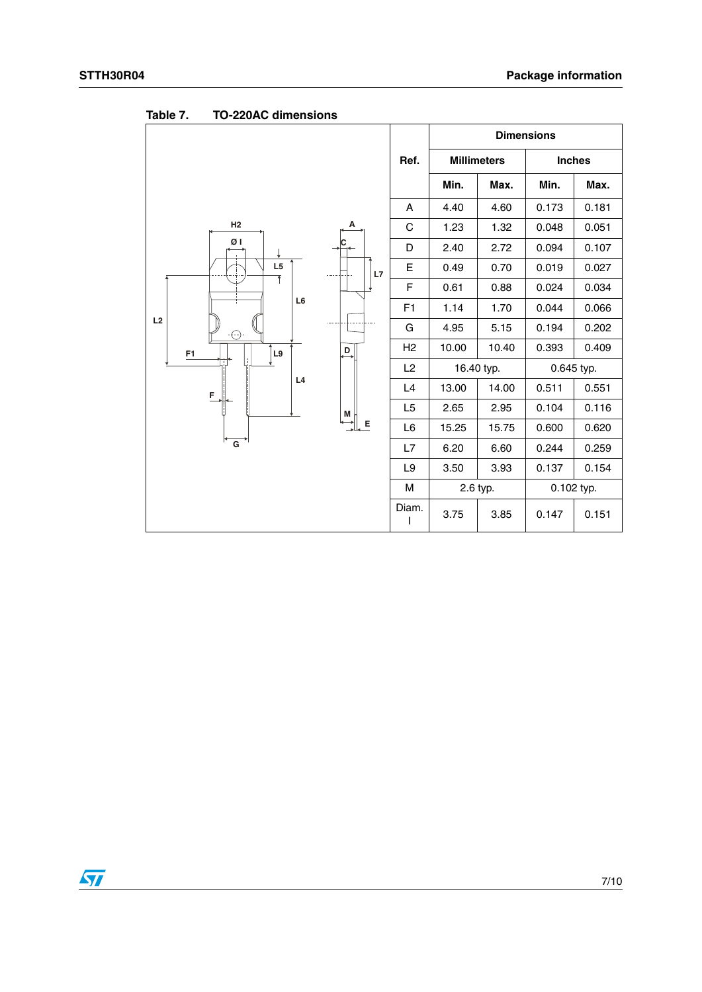|                                         |                         | <b>Dimensions</b> |       |                    |       |               |
|-----------------------------------------|-------------------------|-------------------|-------|--------------------|-------|---------------|
|                                         |                         | Ref.              |       | <b>Millimeters</b> |       | <b>Inches</b> |
|                                         |                         |                   | Min.  | Max.               | Min.  | Max.          |
|                                         |                         | A                 | 4.40  | 4.60               | 0.173 | 0.181         |
| H <sub>2</sub>                          | А                       | C                 | 1.23  | 1.32               | 0.048 | 0.051         |
| ØΙ                                      |                         | D                 | 2.40  | 2.72               | 0.094 | 0.107         |
| L <sub>5</sub><br>$\overline{\uparrow}$ | L7                      | E                 | 0.49  | 0.70               | 0.019 | 0.027         |
|                                         |                         | F                 | 0.61  | 0.88               | 0.024 | 0.034         |
| L6                                      |                         | F1                | 1.14  | 1.70               | 0.044 | 0.066         |
| L2<br>⊖.                                |                         | G                 | 4.95  | 5.15               | 0.194 | 0.202         |
| L9<br>F1                                | $\overline{\mathsf{P}}$ | H <sub>2</sub>    | 10.00 | 10.40              | 0.393 | 0.409         |
|                                         |                         | L2                |       | 16.40 typ.         |       | 0.645 typ.    |
| L <sub>4</sub><br>F                     |                         | L4                | 13.00 | 14.00              | 0.511 | 0.551         |
|                                         | M                       | L5                | 2.65  | 2.95               | 0.104 | 0.116         |
|                                         | E                       | L <sub>6</sub>    | 15.25 | 15.75              | 0.600 | 0.620         |
| G                                       |                         | L7                | 6.20  | 6.60               | 0.244 | 0.259         |
|                                         |                         | L9                | 3.50  | 3.93               | 0.137 | 0.154         |
|                                         |                         | M                 |       | 2.6 typ.           |       | 0.102 typ.    |
|                                         |                         | Diam.<br>I        | 3.75  | 3.85               | 0.147 | 0.151         |

**Table 7. TO-220AC dimensions**

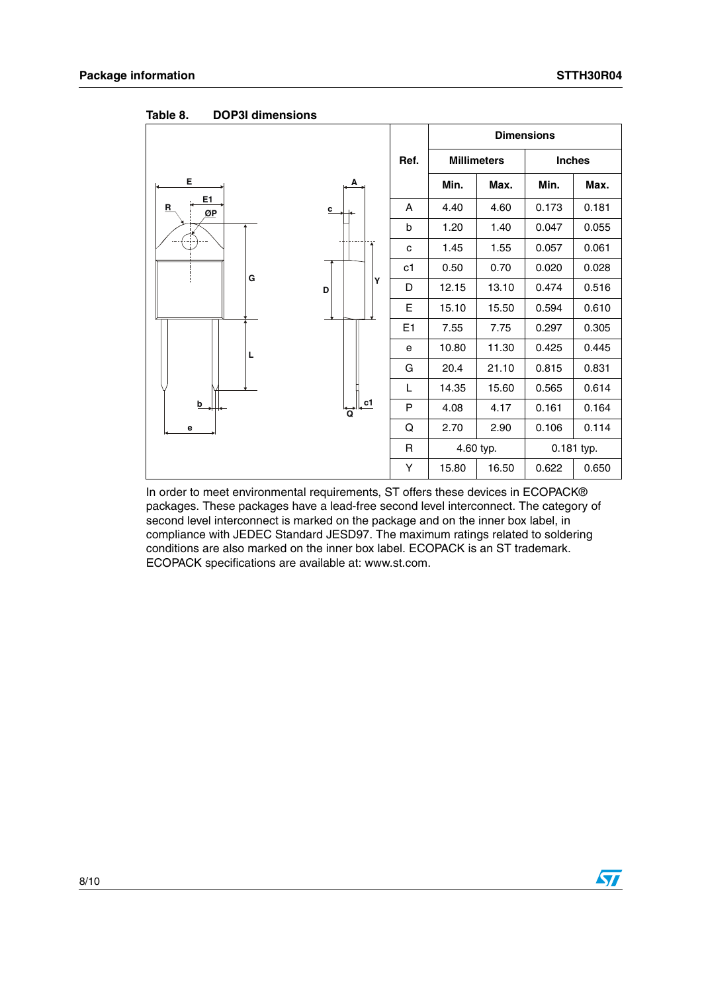|                              |                          |                |       |                    | <b>Dimensions</b> |            |  |
|------------------------------|--------------------------|----------------|-------|--------------------|-------------------|------------|--|
|                              |                          | Ref.           |       | <b>Millimeters</b> | <b>Inches</b>     |            |  |
| E                            | A                        |                | Min.  | Max.               | Min.              | Max.       |  |
| E1<br>R<br>$_{\mathcal{Q}P}$ | $\underline{\mathbf{c}}$ | A              | 4.40  | 4.60               | 0.173             | 0.181      |  |
|                              |                          | b              | 1.20  | 1.40               | 0.047             | 0.055      |  |
|                              |                          | c              | 1.45  | 1.55               | 0.057             | 0.061      |  |
| G                            |                          | c1             | 0.50  | 0.70               | 0.020             | 0.028      |  |
|                              | Y<br>D                   | D              | 12.15 | 13.10              | 0.474             | 0.516      |  |
|                              |                          | E              | 15.10 | 15.50              | 0.594             | 0.610      |  |
|                              |                          | E <sub>1</sub> | 7.55  | 7.75               | 0.297             | 0.305      |  |
| L                            |                          | е              | 10.80 | 11.30              | 0.425             | 0.445      |  |
|                              |                          | G              | 20.4  | 21.10              | 0.815             | 0.831      |  |
|                              |                          | L              | 14.35 | 15.60              | 0.565             | 0.614      |  |
| b                            | $\overline{c1}$<br>ີດ້   | P              | 4.08  | 4.17               | 0.161             | 0.164      |  |
| е                            |                          | Q              | 2.70  | 2.90               | 0.106             | 0.114      |  |
|                              |                          | R              |       | 4.60 typ.          |                   | 0.181 typ. |  |
|                              |                          | Y              | 15.80 | 16.50              | 0.622             | 0.650      |  |

Table 8. **DOP3I dimensions** 

In order to meet environmental requirements, ST offers these devices in ECOPACK® packages. These packages have a lead-free second level interconnect. The category of second level interconnect is marked on the package and on the inner box label, in compliance with JEDEC Standard JESD97. The maximum ratings related to soldering conditions are also marked on the inner box label. ECOPACK is an ST trademark. ECOPACK specifications are available at: www.st.com.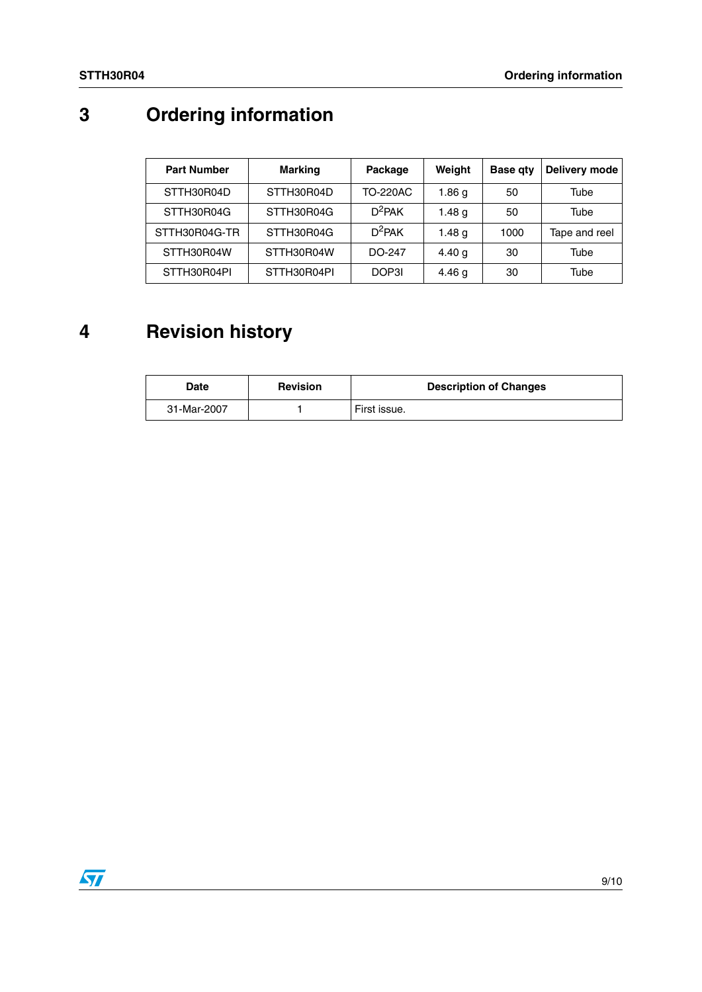## **3 Ordering information**

| <b>Part Number</b> | <b>Marking</b> | Package   | Weight            | Base qty | Delivery mode |
|--------------------|----------------|-----------|-------------------|----------|---------------|
| STTH30R04D         | STTH30R04D     | TO-220AC  | 1.86 g            | 50       | Tube          |
| STTH30R04G         | STTH30R04G     | $D^2$ PAK | 1.48 <sub>q</sub> | 50       | Tube          |
| STTH30R04G-TR      | STTH30R04G     | $D^2$ PAK | 1.48 <sub>q</sub> | 1000     | Tape and reel |
| STTH30R04W         | STTH30R04W     | DO-247    | 4.40 <sub>q</sub> | 30       | Tube          |
| STTH30R04PI        | STTH30R04PI    | DOP3I     | 4.46q             | 30       | Tube          |

## **4 Revision history**

| <b>Date</b> | <b>Revision</b> | <b>Description of Changes</b> |
|-------------|-----------------|-------------------------------|
| 31-Mar-2007 |                 | First issue.                  |